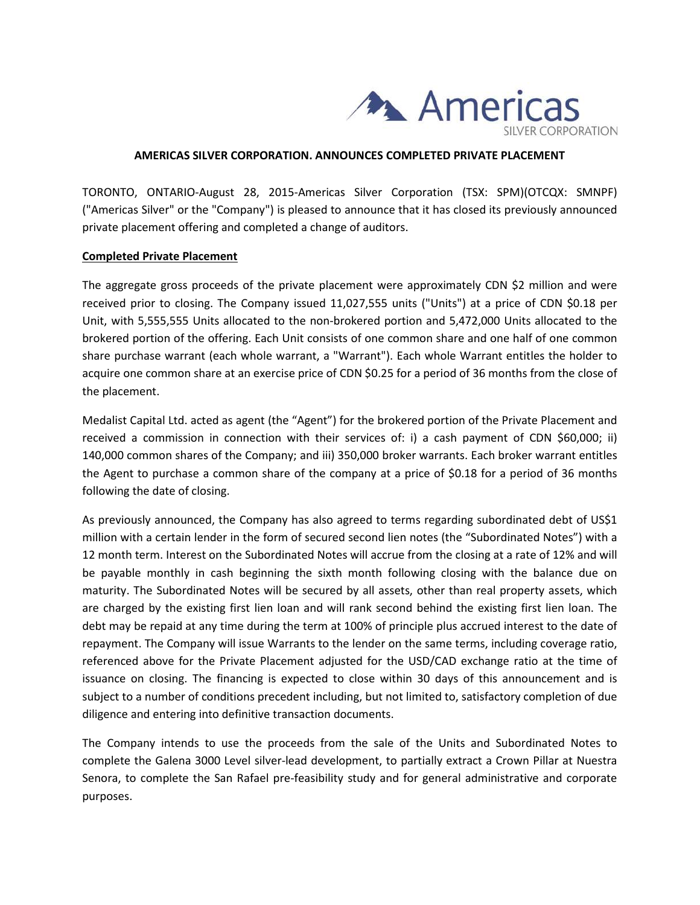

#### **AMERICAS SILVER CORPORATION. ANNOUNCES COMPLETED PRIVATE PLACEMENT**

TORONTO, ONTARIO-August 28, 2015-Americas Silver Corporation (TSX: SPM)(OTCQX: SMNPF) ("Americas Silver" or the "Company") is pleased to announce that it has closed its previously announced private placement offering and completed a change of auditors.

### **Completed Private Placement**

The aggregate gross proceeds of the private placement were approximately CDN \$2 million and were received prior to closing. The Company issued 11,027,555 units ("Units") at a price of CDN \$0.18 per Unit, with 5,555,555 Units allocated to the non-brokered portion and 5,472,000 Units allocated to the brokered portion of the offering. Each Unit consists of one common share and one half of one common share purchase warrant (each whole warrant, a "Warrant"). Each whole Warrant entitles the holder to acquire one common share at an exercise price of CDN \$0.25 for a period of 36 months from the close of the placement.

Medalist Capital Ltd. acted as agent (the "Agent") for the brokered portion of the Private Placement and received a commission in connection with their services of: i) a cash payment of CDN \$60,000; ii) 140,000 common shares of the Company; and iii) 350,000 broker warrants. Each broker warrant entitles the Agent to purchase a common share of the company at a price of \$0.18 for a period of 36 months following the date of closing.

As previously announced, the Company has also agreed to terms regarding subordinated debt of US\$1 million with a certain lender in the form of secured second lien notes (the "Subordinated Notes") with a 12 month term. Interest on the Subordinated Notes will accrue from the closing at a rate of 12% and will be payable monthly in cash beginning the sixth month following closing with the balance due on maturity. The Subordinated Notes will be secured by all assets, other than real property assets, which are charged by the existing first lien loan and will rank second behind the existing first lien loan. The debt may be repaid at any time during the term at 100% of principle plus accrued interest to the date of repayment. The Company will issue Warrants to the lender on the same terms, including coverage ratio, referenced above for the Private Placement adjusted for the USD/CAD exchange ratio at the time of issuance on closing. The financing is expected to close within 30 days of this announcement and is subject to a number of conditions precedent including, but not limited to, satisfactory completion of due diligence and entering into definitive transaction documents.

The Company intends to use the proceeds from the sale of the Units and Subordinated Notes to complete the Galena 3000 Level silver-lead development, to partially extract a Crown Pillar at Nuestra Senora, to complete the San Rafael pre-feasibility study and for general administrative and corporate purposes.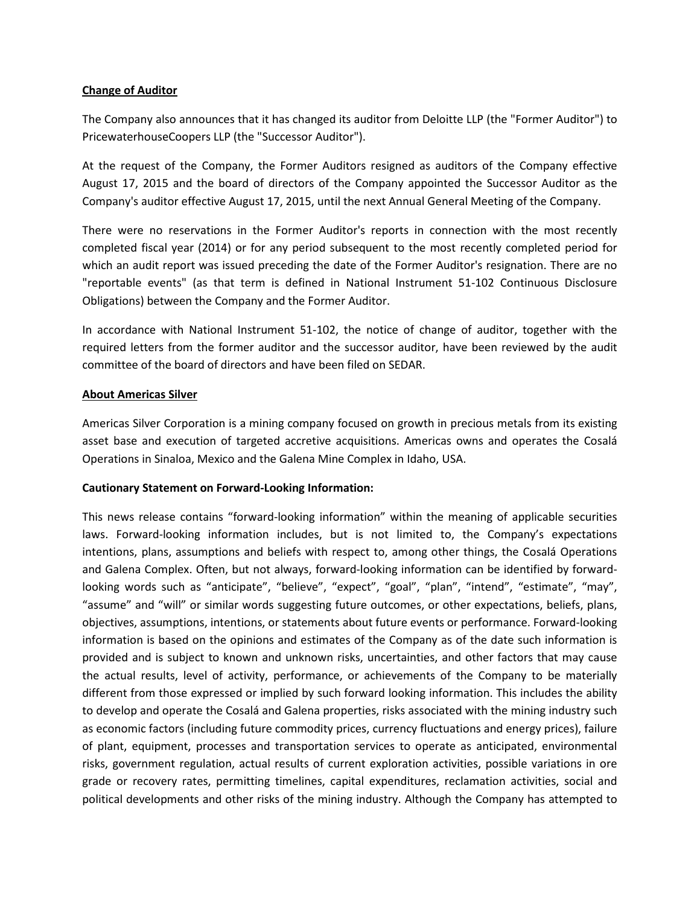## **Change of Auditor**

The Company also announces that it has changed its auditor from Deloitte LLP (the "Former Auditor") to PricewaterhouseCoopers LLP (the "Successor Auditor").

At the request of the Company, the Former Auditors resigned as auditors of the Company effective August 17, 2015 and the board of directors of the Company appointed the Successor Auditor as the Company's auditor effective August 17, 2015, until the next Annual General Meeting of the Company.

There were no reservations in the Former Auditor's reports in connection with the most recently completed fiscal year (2014) or for any period subsequent to the most recently completed period for which an audit report was issued preceding the date of the Former Auditor's resignation. There are no "reportable events" (as that term is defined in National Instrument 51-102 Continuous Disclosure Obligations) between the Company and the Former Auditor.

In accordance with National Instrument 51-102, the notice of change of auditor, together with the required letters from the former auditor and the successor auditor, have been reviewed by the audit committee of the board of directors and have been filed on SEDAR.

## **About Americas Silver**

Americas Silver Corporation is a mining company focused on growth in precious metals from its existing asset base and execution of targeted accretive acquisitions. Americas owns and operates the Cosalá Operations in Sinaloa, Mexico and the Galena Mine Complex in Idaho, USA.

# **Cautionary Statement on Forward-Looking Information:**

This news release contains "forward-looking information" within the meaning of applicable securities laws. Forward-looking information includes, but is not limited to, the Company's expectations intentions, plans, assumptions and beliefs with respect to, among other things, the Cosalá Operations and Galena Complex. Often, but not always, forward-looking information can be identified by forwardlooking words such as "anticipate", "believe", "expect", "goal", "plan", "intend", "estimate", "may", "assume" and "will" or similar words suggesting future outcomes, or other expectations, beliefs, plans, objectives, assumptions, intentions, or statements about future events or performance. Forward-looking information is based on the opinions and estimates of the Company as of the date such information is provided and is subject to known and unknown risks, uncertainties, and other factors that may cause the actual results, level of activity, performance, or achievements of the Company to be materially different from those expressed or implied by such forward looking information. This includes the ability to develop and operate the Cosalá and Galena properties, risks associated with the mining industry such as economic factors (including future commodity prices, currency fluctuations and energy prices), failure of plant, equipment, processes and transportation services to operate as anticipated, environmental risks, government regulation, actual results of current exploration activities, possible variations in ore grade or recovery rates, permitting timelines, capital expenditures, reclamation activities, social and political developments and other risks of the mining industry. Although the Company has attempted to